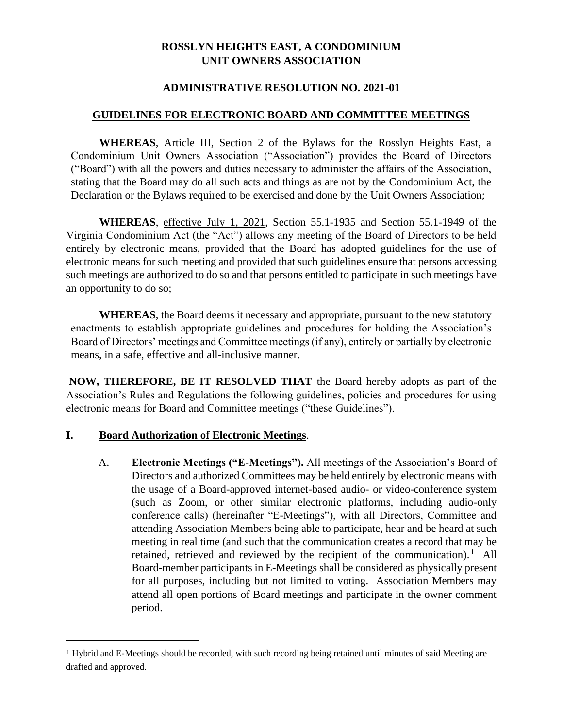## **ROSSLYN HEIGHTS EAST, A CONDOMINIUM UNIT OWNERS ASSOCIATION**

### **ADMINISTRATIVE RESOLUTION NO. 2021-01**

### **GUIDELINES FOR ELECTRONIC BOARD AND COMMITTEE MEETINGS**

**WHEREAS**, Article III, Section 2 of the Bylaws for the Rosslyn Heights East, a Condominium Unit Owners Association ("Association") provides the Board of Directors ("Board") with all the powers and duties necessary to administer the affairs of the Association, stating that the Board may do all such acts and things as are not by the Condominium Act, the Declaration or the Bylaws required to be exercised and done by the Unit Owners Association;

**WHEREAS**, effective July 1, 2021, Section 55.1-1935 and Section 55.1-1949 of the Virginia Condominium Act (the "Act") allows any meeting of the Board of Directors to be held entirely by electronic means, provided that the Board has adopted guidelines for the use of electronic means for such meeting and provided that such guidelines ensure that persons accessing such meetings are authorized to do so and that persons entitled to participate in such meetings have an opportunity to do so;

**WHEREAS**, the Board deems it necessary and appropriate, pursuant to the new statutory enactments to establish appropriate guidelines and procedures for holding the Association's Board of Directors' meetings and Committee meetings (if any), entirely or partially by electronic means, in a safe, effective and all-inclusive manner.

**NOW, THEREFORE, BE IT RESOLVED THAT** the Board hereby adopts as part of the Association's Rules and Regulations the following guidelines, policies and procedures for using electronic means for Board and Committee meetings ("these Guidelines").

### **I. Board Authorization of Electronic Meetings**.

A. **Electronic Meetings ("E-Meetings").** All meetings of the Association's Board of Directors and authorized Committees may be held entirely by electronic means with the usage of a Board-approved internet-based audio- or video-conference system (such as Zoom, or other similar electronic platforms, including audio-only conference calls) (hereinafter "E-Meetings"), with all Directors, Committee and attending Association Members being able to participate, hear and be heard at such meeting in real time (and such that the communication creates a record that may be retained, retrieved and reviewed by the recipient of the communication).<sup>1</sup> All Board-member participants in E-Meetings shall be considered as physically present for all purposes, including but not limited to voting. Association Members may attend all open portions of Board meetings and participate in the owner comment period.

 $1$  Hybrid and E-Meetings should be recorded, with such recording being retained until minutes of said Meeting are drafted and approved.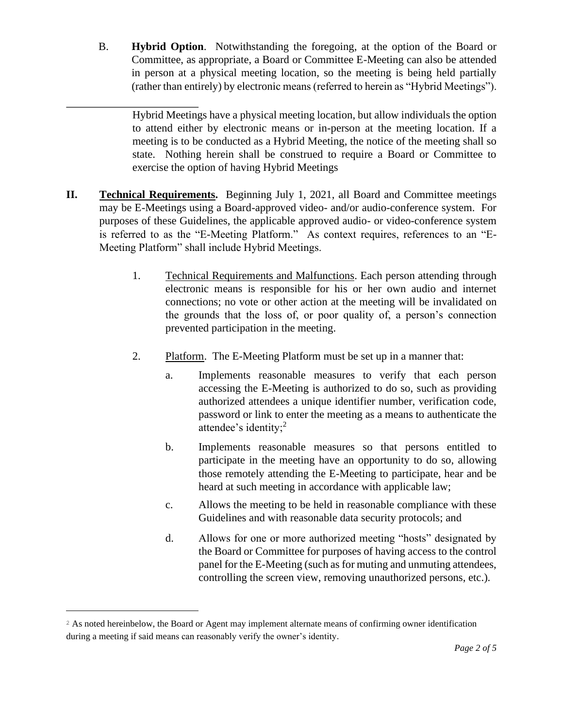B. **Hybrid Option**. Notwithstanding the foregoing, at the option of the Board or Committee, as appropriate, a Board or Committee E-Meeting can also be attended in person at a physical meeting location, so the meeting is being held partially (rather than entirely) by electronic means (referred to herein as "Hybrid Meetings").

Hybrid Meetings have a physical meeting location, but allow individuals the option to attend either by electronic means or in-person at the meeting location. If a meeting is to be conducted as a Hybrid Meeting, the notice of the meeting shall so state. Nothing herein shall be construed to require a Board or Committee to exercise the option of having Hybrid Meetings

- **II. Technical Requirements.** Beginning July 1, 2021, all Board and Committee meetings may be E-Meetings using a Board-approved video- and/or audio-conference system. For purposes of these Guidelines, the applicable approved audio- or video-conference system is referred to as the "E-Meeting Platform." As context requires, references to an "E-Meeting Platform" shall include Hybrid Meetings.
	- 1. Technical Requirements and Malfunctions. Each person attending through electronic means is responsible for his or her own audio and internet connections; no vote or other action at the meeting will be invalidated on the grounds that the loss of, or poor quality of, a person's connection prevented participation in the meeting.
	- 2. Platform. The E-Meeting Platform must be set up in a manner that:
		- a. Implements reasonable measures to verify that each person accessing the E-Meeting is authorized to do so, such as providing authorized attendees a unique identifier number, verification code, password or link to enter the meeting as a means to authenticate the attendee's identity;<sup>2</sup>
		- b. Implements reasonable measures so that persons entitled to participate in the meeting have an opportunity to do so, allowing those remotely attending the E-Meeting to participate, hear and be heard at such meeting in accordance with applicable law;
		- c. Allows the meeting to be held in reasonable compliance with these Guidelines and with reasonable data security protocols; and
		- d. Allows for one or more authorized meeting "hosts" designated by the Board or Committee for purposes of having access to the control panel for the E-Meeting (such as for muting and unmuting attendees, controlling the screen view, removing unauthorized persons, etc.).

<sup>&</sup>lt;sup>2</sup> As noted hereinbelow, the Board or Agent may implement alternate means of confirming owner identification during a meeting if said means can reasonably verify the owner's identity.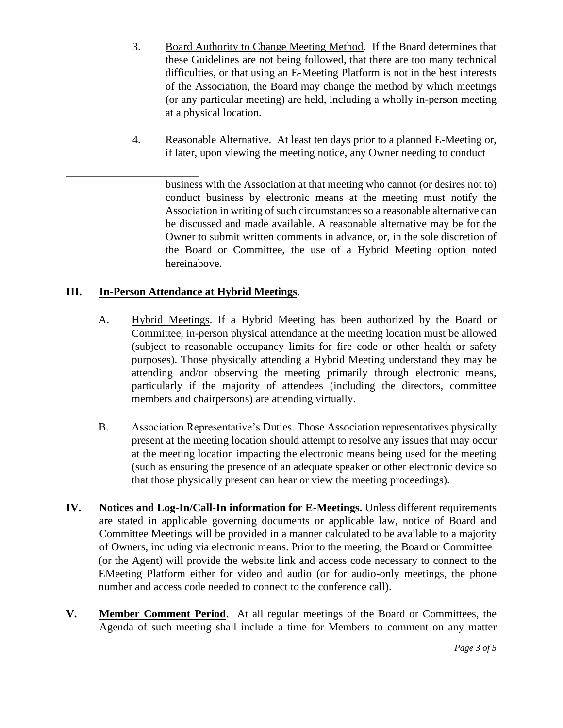- 3. Board Authority to Change Meeting Method. If the Board determines that these Guidelines are not being followed, that there are too many technical difficulties, or that using an E-Meeting Platform is not in the best interests of the Association, the Board may change the method by which meetings (or any particular meeting) are held, including a wholly in-person meeting at a physical location.
- 4. Reasonable Alternative. At least ten days prior to a planned E-Meeting or, if later, upon viewing the meeting notice, any Owner needing to conduct

business with the Association at that meeting who cannot (or desires not to) conduct business by electronic means at the meeting must notify the Association in writing of such circumstances so a reasonable alternative can be discussed and made available. A reasonable alternative may be for the Owner to submit written comments in advance, or, in the sole discretion of the Board or Committee, the use of a Hybrid Meeting option noted hereinabove.

# **III. In-Person Attendance at Hybrid Meetings**.

- A. Hybrid Meetings. If a Hybrid Meeting has been authorized by the Board or Committee, in-person physical attendance at the meeting location must be allowed (subject to reasonable occupancy limits for fire code or other health or safety purposes). Those physically attending a Hybrid Meeting understand they may be attending and/or observing the meeting primarily through electronic means, particularly if the majority of attendees (including the directors, committee members and chairpersons) are attending virtually.
- B. Association Representative's Duties. Those Association representatives physically present at the meeting location should attempt to resolve any issues that may occur at the meeting location impacting the electronic means being used for the meeting (such as ensuring the presence of an adequate speaker or other electronic device so that those physically present can hear or view the meeting proceedings).
- **IV. Notices and Log-In/Call-In information for E-Meetings.** Unless different requirements are stated in applicable governing documents or applicable law, notice of Board and Committee Meetings will be provided in a manner calculated to be available to a majority of Owners, including via electronic means. Prior to the meeting, the Board or Committee (or the Agent) will provide the website link and access code necessary to connect to the EMeeting Platform either for video and audio (or for audio-only meetings, the phone number and access code needed to connect to the conference call).
- **V. Member Comment Period**. At all regular meetings of the Board or Committees, the Agenda of such meeting shall include a time for Members to comment on any matter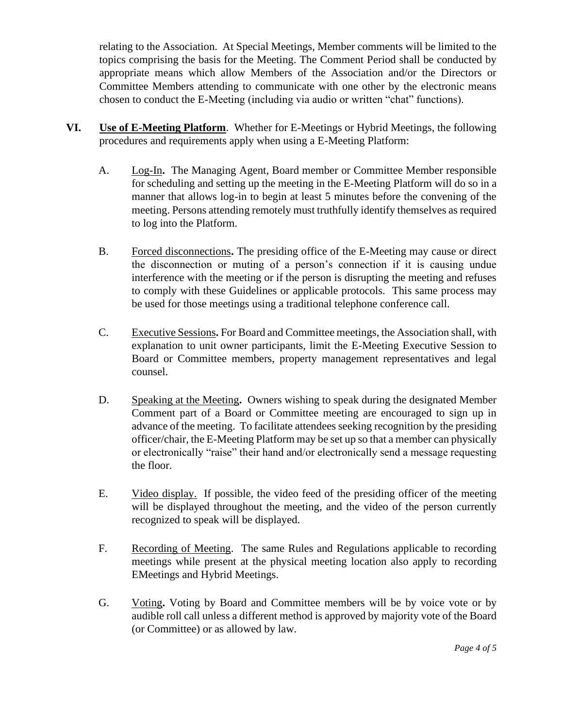relating to the Association. At Special Meetings, Member comments will be limited to the topics comprising the basis for the Meeting. The Comment Period shall be conducted by appropriate means which allow Members of the Association and/or the Directors or Committee Members attending to communicate with one other by the electronic means chosen to conduct the E-Meeting (including via audio or written "chat" functions).

- **VI. Use of E-Meeting Platform**. Whether for E-Meetings or Hybrid Meetings, the following procedures and requirements apply when using a E-Meeting Platform:
	- A. Log-In**.** The Managing Agent, Board member or Committee Member responsible for scheduling and setting up the meeting in the E-Meeting Platform will do so in a manner that allows log-in to begin at least 5 minutes before the convening of the meeting. Persons attending remotely must truthfully identify themselves as required to log into the Platform.
	- B. Forced disconnections**.** The presiding office of the E-Meeting may cause or direct the disconnection or muting of a person's connection if it is causing undue interference with the meeting or if the person is disrupting the meeting and refuses to comply with these Guidelines or applicable protocols. This same process may be used for those meetings using a traditional telephone conference call.
	- C. Executive Sessions**.** For Board and Committee meetings, the Association shall, with explanation to unit owner participants, limit the E-Meeting Executive Session to Board or Committee members, property management representatives and legal counsel.
	- D. Speaking at the Meeting**.** Owners wishing to speak during the designated Member Comment part of a Board or Committee meeting are encouraged to sign up in advance of the meeting. To facilitate attendees seeking recognition by the presiding officer/chair, the E-Meeting Platform may be set up so that a member can physically or electronically "raise" their hand and/or electronically send a message requesting the floor.
	- E. Video display.If possible, the video feed of the presiding officer of the meeting will be displayed throughout the meeting, and the video of the person currently recognized to speak will be displayed.
	- F. Recording of Meeting. The same Rules and Regulations applicable to recording meetings while present at the physical meeting location also apply to recording EMeetings and Hybrid Meetings.
	- G. Voting**.** Voting by Board and Committee members will be by voice vote or by audible roll call unless a different method is approved by majority vote of the Board (or Committee) or as allowed by law.